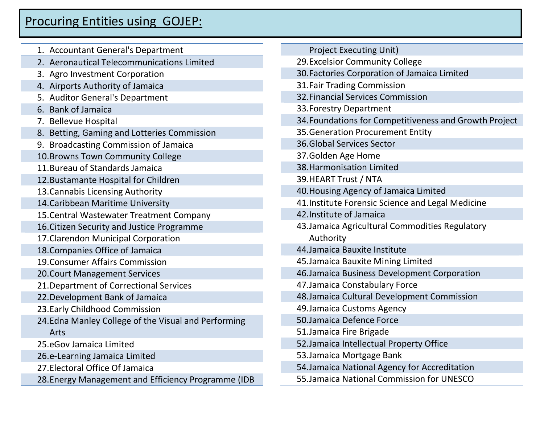## Procuring Entities using GOJEP:

| 1. Accountant General's Department                   | <b>Project Executing Unit)</b>                         |
|------------------------------------------------------|--------------------------------------------------------|
| 2. Aeronautical Telecommunications Limited           | 29. Excelsior Community College                        |
| 3. Agro Investment Corporation                       | 30. Factories Corporation of Jamaica Limited           |
| 4. Airports Authority of Jamaica                     | <b>31. Fair Trading Commission</b>                     |
| 5. Auditor General's Department                      | 32. Financial Services Commission                      |
| 6. Bank of Jamaica                                   | 33. Forestry Department                                |
| 7. Bellevue Hospital                                 | 34. Foundations for Competitiveness and Growth Project |
| 8. Betting, Gaming and Lotteries Commission          | 35. Generation Procurement Entity                      |
| 9. Broadcasting Commission of Jamaica                | <b>36.Global Services Sector</b>                       |
| 10. Browns Town Community College                    | 37. Golden Age Home                                    |
| 11. Bureau of Standards Jamaica                      | 38. Harmonisation Limited                              |
| 12. Bustamante Hospital for Children                 | 39. HEART Trust / NTA                                  |
| 13. Cannabis Licensing Authority                     | 40. Housing Agency of Jamaica Limited                  |
| 14. Caribbean Maritime University                    | 41. Institute Forensic Science and Legal Medicine      |
| 15. Central Wastewater Treatment Company             | 42. Institute of Jamaica                               |
| 16. Citizen Security and Justice Programme           | 43. Jamaica Agricultural Commodities Regulatory        |
| 17. Clarendon Municipal Corporation                  | Authority                                              |
| 18. Companies Office of Jamaica                      | 44. Jamaica Bauxite Institute                          |
| 19. Consumer Affairs Commission                      | 45. Jamaica Bauxite Mining Limited                     |
| 20. Court Management Services                        | 46. Jamaica Business Development Corporation           |
| 21. Department of Correctional Services              | 47. Jamaica Constabulary Force                         |
| 22. Development Bank of Jamaica                      | 48. Jamaica Cultural Development Commission            |
| 23. Early Childhood Commission                       | 49. Jamaica Customs Agency                             |
| 24. Edna Manley College of the Visual and Performing | 50. Jamaica Defence Force                              |
| Arts                                                 | 51. Jamaica Fire Brigade                               |
| 25.eGov Jamaica Limited                              | 52. Jamaica Intellectual Property Office               |
| 26.e-Learning Jamaica Limited                        | 53. Jamaica Mortgage Bank                              |
| 27. Electoral Office Of Jamaica                      | 54. Jamaica National Agency for Accreditation          |
| 28. Energy Management and Efficiency Programme (IDB  | 55. Jamaica National Commission for UNESCO             |
|                                                      |                                                        |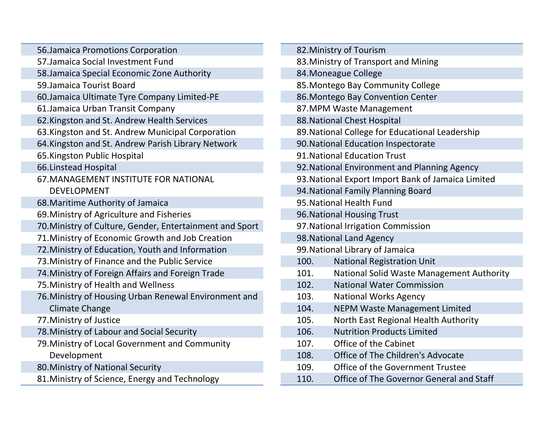| 56. Jamaica Promotions Corporation                       | 82. Ministry of Tourism                            |  |
|----------------------------------------------------------|----------------------------------------------------|--|
| 57. Jamaica Social Investment Fund                       | 83. Ministry of Transport and Mining               |  |
| 58. Jamaica Special Economic Zone Authority              | 84. Moneague College                               |  |
| 59. Jamaica Tourist Board                                | 85. Montego Bay Community College                  |  |
| 60. Jamaica Ultimate Tyre Company Limited-PE             | 86. Montego Bay Convention Center                  |  |
| 61. Jamaica Urban Transit Company                        | 87. MPM Waste Management                           |  |
| 62. Kingston and St. Andrew Health Services              | 88. National Chest Hospital                        |  |
| 63. Kingston and St. Andrew Municipal Corporation        | 89. National College for Educational Leadership    |  |
| 64. Kingston and St. Andrew Parish Library Network       | 90. National Education Inspectorate                |  |
| 65. Kingston Public Hospital                             | 91. National Education Trust                       |  |
| 66. Linstead Hospital                                    | 92. National Environment and Planning Agency       |  |
| 67. MANAGEMENT INSTITUTE FOR NATIONAL                    | 93. National Export Import Bank of Jamaica Limited |  |
| <b>DEVELOPMENT</b>                                       | 94. National Family Planning Board                 |  |
| 68. Maritime Authority of Jamaica                        | 95. National Health Fund                           |  |
| 69. Ministry of Agriculture and Fisheries                | 96. National Housing Trust                         |  |
| 70. Ministry of Culture, Gender, Entertainment and Sport | 97. National Irrigation Commission                 |  |
| 71. Ministry of Economic Growth and Job Creation         | 98. National Land Agency                           |  |
| 72. Ministry of Education, Youth and Information         | 99. National Library of Jamaica                    |  |
| 73. Ministry of Finance and the Public Service           | 100.<br><b>National Registration Unit</b>          |  |
| 74. Ministry of Foreign Affairs and Foreign Trade        | 101.<br>National Solid Waste Management Authority  |  |
| 75. Ministry of Health and Wellness                      | 102.<br><b>National Water Commission</b>           |  |
| 76. Ministry of Housing Urban Renewal Environment and    | 103.<br><b>National Works Agency</b>               |  |
| <b>Climate Change</b>                                    | 104.<br><b>NEPM Waste Management Limited</b>       |  |
| 77. Ministry of Justice                                  | North East Regional Health Authority<br>105.       |  |
| 78. Ministry of Labour and Social Security               | <b>Nutrition Products Limited</b><br>106.          |  |
| 79. Ministry of Local Government and Community           | Office of the Cabinet<br>107.                      |  |
| Development                                              | Office of The Children's Advocate<br>108.          |  |
| 80. Ministry of National Security                        | Office of the Government Trustee<br>109.           |  |
| 81. Ministry of Science, Energy and Technology           | 110.<br>Office of The Governor General and Staff   |  |
|                                                          |                                                    |  |